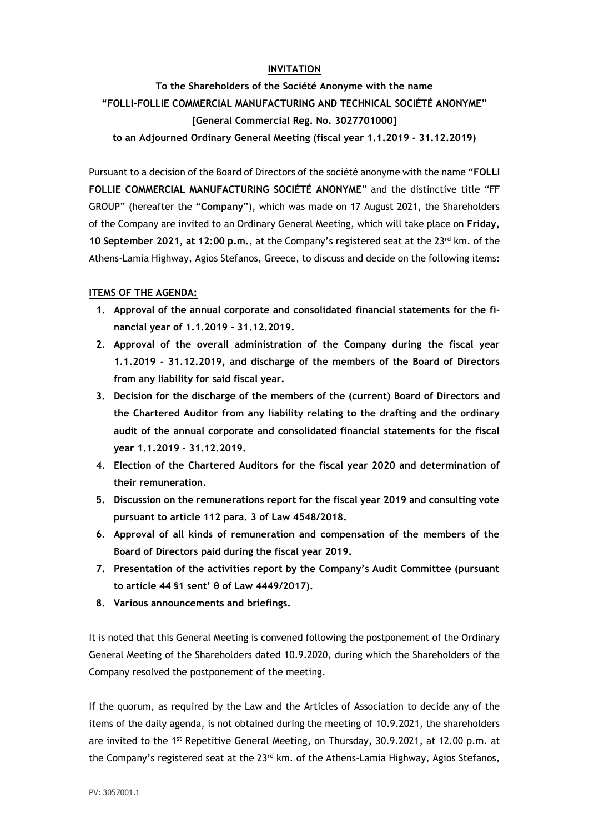# **INVITATION**

**To the Shareholders of the Société Anonyme with the name "FOLLI-FOLLIE COMMERCIAL MANUFACTURING AND TECHNICAL SOCIÉTÉ ANONYME" [General Commercial Reg. No. 3027701000]**

**to an Adjourned Ordinary General Meeting (fiscal year 1.1.2019 - 31.12.2019)**

Pursuant to a decision of the Board of Directors of the société anonyme with the name "**FOLLI FOLLIE COMMERCIAL MANUFACTURING SOCIÉTÉ ANONYME**" and the distinctive title "FF GROUP" (hereafter the "**Company**"), which was made on 17 August 2021, the Shareholders of the Company are invited to an Ordinary General Meeting, which will take place on **Friday, 10 September 2021, at 12:00 p.m.**, at the Company's registered seat at the 23rd km. of the Athens-Lamia Highway, Agios Stefanos, Greece, to discuss and decide on the following items:

## **ITEMS OF THE AGENDA:**

- **1. Approval of the annual corporate and consolidated financial statements for the financial year of 1.1.2019 - 31.12.2019.**
- **2. Approval of the overall administration of the Company during the fiscal year 1.1.2019 - 31.12.2019, and discharge of the members of the Board of Directors from any liability for said fiscal year.**
- **3. Decision for the discharge of the members of the (current) Board of Directors and the Chartered Auditor from any liability relating to the drafting and the ordinary audit of the annual corporate and consolidated financial statements for the fiscal year 1.1.2019 - 31.12.2019.**
- **4. Election of the Chartered Auditors for the fiscal year 2020 and determination of their remuneration.**
- **5. Discussion on the remunerations report for the fiscal year 2019 and consulting vote pursuant to article 112 para. 3 of Law 4548/2018.**
- **6. Approval of all kinds of remuneration and compensation of the members of the Board of Directors paid during the fiscal year 2019.**
- **7. Presentation of the activities report by the Company's Audit Committee (pursuant to article 44 §1 sent' θ of Law 4449/2017).**
- **8. Various announcements and briefings.**

It is noted that this General Meeting is convened following the postponement of the Ordinary General Meeting of the Shareholders dated 10.9.2020, during which the Shareholders of the Company resolved the postponement of the meeting.

If the quorum, as required by the Law and the Articles of Association to decide any of the items of the daily agenda, is not obtained during the meeting of 10.9.2021, the shareholders are invited to the 1<sup>st</sup> Repetitive General Meeting, on Thursday, 30.9.2021, at 12.00 p.m. at the Company's registered seat at the  $23<sup>rd</sup>$  km. of the Athens-Lamia Highway, Agios Stefanos,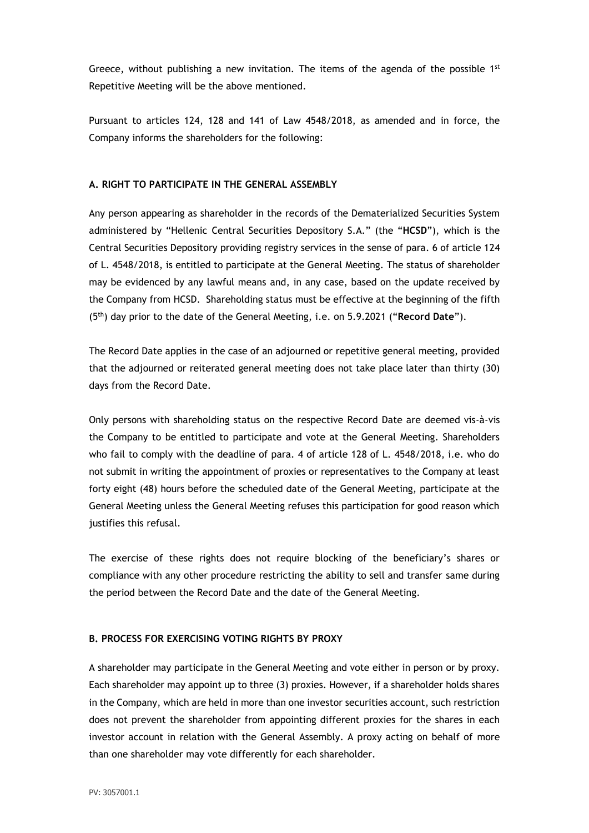Greece, without publishing a new invitation. The items of the agenda of the possible  $1^{st}$ Repetitive Meeting will be the above mentioned.

Pursuant to articles 124, 128 and 141 of Law 4548/2018, as amended and in force, the Company informs the shareholders for the following:

## **A. RIGHT TO PARTICIPATE IN THE GENERAL ASSEMBLY**

Any person appearing as shareholder in the records of the Dematerialized Securities System administered by "Hellenic Central Securities Depository S.A." (the "**HCSD**"), which is the Central Securities Depository providing registry services in the sense of para. 6 of article 124 of L. 4548/2018, is entitled to participate at the General Meeting. The status of shareholder may be evidenced by any lawful means and, in any case, based on the update received by the Company from HCSD. Shareholding status must be effective at the beginning of the fifth (5th) day prior to the date of the General Meeting, i.e. on 5.9.2021 ("**Record Date**").

The Record Date applies in the case of an adjourned or repetitive general meeting, provided that the adjourned or reiterated general meeting does not take place later than thirty (30) days from the Record Date.

Only persons with shareholding status on the respective Record Date are deemed vis-à-vis the Company to be entitled to participate and vote at the General Meeting. Shareholders who fail to comply with the deadline of para. 4 of article 128 of L. 4548/2018, i.e. who do not submit in writing the appointment of proxies or representatives to the Company at least forty eight (48) hours before the scheduled date of the General Meeting, participate at the General Meeting unless the General Meeting refuses this participation for good reason which justifies this refusal.

The exercise of these rights does not require blocking of the beneficiary's shares or compliance with any other procedure restricting the ability to sell and transfer same during the period between the Record Date and the date of the General Meeting.

## **B. PROCESS FOR EXERCISING VOTING RIGHTS BY PROXY**

A shareholder may participate in the General Meeting and vote either in person or by proxy. Each shareholder may appoint up to three (3) proxies. However, if a shareholder holds shares in the Company, which are held in more than one investor securities account, such restriction does not prevent the shareholder from appointing different proxies for the shares in each investor account in relation with the General Assembly. A proxy acting on behalf of more than one shareholder may vote differently for each shareholder.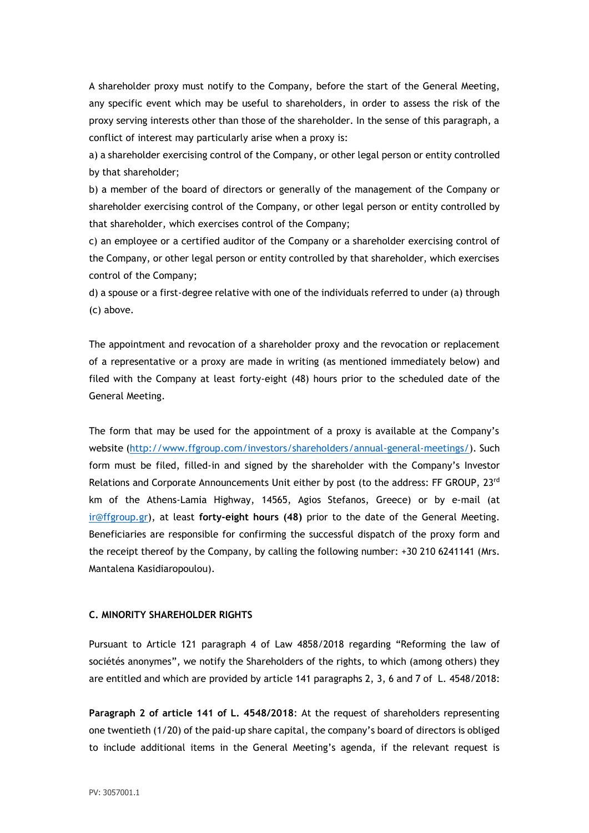A shareholder proxy must notify to the Company, before the start of the General Meeting, any specific event which may be useful to shareholders, in order to assess the risk of the proxy serving interests other than those of the shareholder. In the sense of this paragraph, a conflict of interest may particularly arise when a proxy is:

a) a shareholder exercising control of the Company, or other legal person or entity controlled by that shareholder;

b) a member of the board of directors or generally of the management of the Company or shareholder exercising control of the Company, or other legal person or entity controlled by that shareholder, which exercises control of the Company;

c) an employee or a certified auditor of the Company or a shareholder exercising control of the Company, or other legal person or entity controlled by that shareholder, which exercises control of the Company;

d) a spouse or a first-degree relative with one of the individuals referred to under (a) through (c) above.

The appointment and revocation of a shareholder proxy and the revocation or replacement of a representative or a proxy are made in writing (as mentioned immediately below) and filed with the Company at least forty-eight (48) hours prior to the scheduled date of the General Meeting.

The form that may be used for the appointment of a proxy is available at the Company's website [\(http://www.ffgroup.com/investors/shareholders/annual-general-meetings/\)](http://www.ffgroup.com/investors/shareholders/annual-general-meetings/). Such form must be filed, filled-in and signed by the shareholder with the Company's Investor Relations and Corporate Announcements Unit either by post (to the address: FF GROUP, 23rd km of the Athens-Lamia Highway, 14565, Agios Stefanos, Greece) or by e-mail (at [ir@ffgroup.gr\)](mailto:ir@ffgroup.gr), at least **forty-eight hours (48)** prior to the date of the General Meeting. Beneficiaries are responsible for confirming the successful dispatch of the proxy form and the receipt thereof by the Company, by calling the following number: +30 210 6241141 (Mrs. Mantalena Kasidiaropoulou).

### **C. MINORITY SHAREHOLDER RIGHTS**

Pursuant to Article 121 paragraph 4 of Law 4858/2018 regarding "Reforming the law of sociétés anonymes", we notify the Shareholders of the rights, to which (among others) they are entitled and which are provided by article 141 paragraphs 2, 3, 6 and 7 of L. 4548/2018:

**Paragraph 2 of article 141 of L. 4548/2018**: At the request of shareholders representing one twentieth (1/20) of the paid-up share capital, the company's board of directors is obliged to include additional items in the General Meeting's agenda, if the relevant request is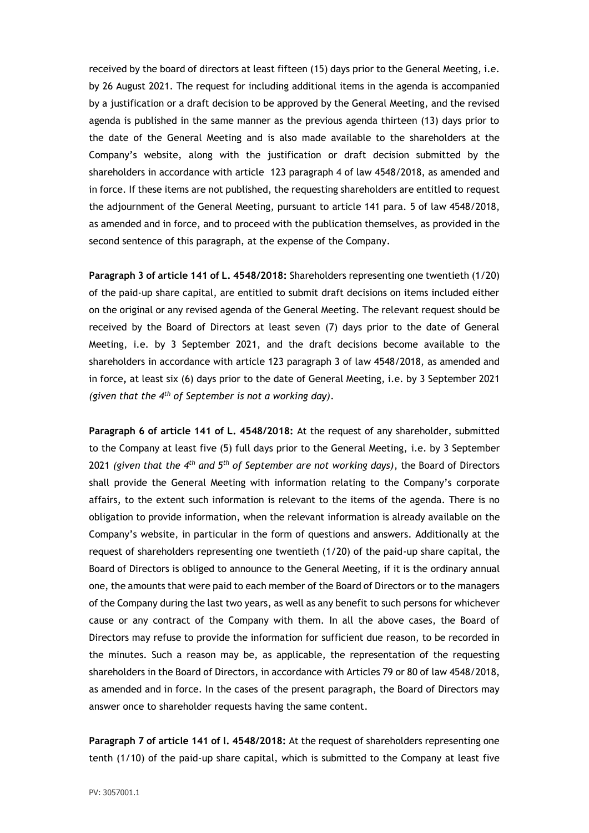received by the board of directors at least fifteen (15) days prior to the General Meeting, i.e. by 26 August 2021. The request for including additional items in the agenda is accompanied by a justification or a draft decision to be approved by the General Meeting, and the revised agenda is published in the same manner as the previous agenda thirteen (13) days prior to the date of the General Meeting and is also made available to the shareholders at the Company's website, along with the justification or draft decision submitted by the shareholders in accordance with article 123 paragraph 4 of law 4548/2018, as amended and in force. If these items are not published, the requesting shareholders are entitled to request the adjournment of the General Meeting, pursuant to article 141 para. 5 of law 4548/2018, as amended and in force, and to proceed with the publication themselves, as provided in the second sentence of this paragraph, at the expense of the Company.

**Paragraph 3 of article 141 of L. 4548/2018:** Shareholders representing one twentieth (1/20) of the paid-up share capital, are entitled to submit draft decisions on items included either on the original or any revised agenda of the General Meeting. The relevant request should be received by the Board of Directors at least seven (7) days prior to the date of General Meeting, i.e. by 3 September 2021, and the draft decisions become available to the shareholders in accordance with article 123 paragraph 3 of law 4548/2018, as amended and in force**,** at least six (6) days prior to the date of General Meeting, i.e. by 3 September 2021 *(given that the 4th of September is not a working day)*.

**Paragraph 6 of article 141 of L. 4548/2018:** At the request of any shareholder, submitted to the Company at least five (5) full days prior to the General Meeting, i.e. by 3 September 2021 *(given that the 4th and 5th of September are not working days)*, the Board of Directors shall provide the General Meeting with information relating to the Company's corporate affairs, to the extent such information is relevant to the items of the agenda. There is no obligation to provide information, when the relevant information is already available on the Company's website, in particular in the form of questions and answers. Additionally at the request of shareholders representing one twentieth (1/20) of the paid-up share capital, the Board of Directors is obliged to announce to the General Meeting, if it is the ordinary annual one, the amounts that were paid to each member of the Board of Directors or to the managers of the Company during the last two years, as well as any benefit to such persons for whichever cause or any contract of the Company with them. In all the above cases, the Board of Directors may refuse to provide the information for sufficient due reason, to be recorded in the minutes. Such a reason may be, as applicable, the representation of the requesting shareholders in the Board of Directors, in accordance with Articles 79 or 80 of law 4548/2018, as amended and in force. In the cases of the present paragraph, the Board of Directors may answer once to shareholder requests having the same content.

**Paragraph 7 of article 141 of l. 4548/2018:** At the request of shareholders representing one tenth (1/10) of the paid-up share capital, which is submitted to the Company at least five